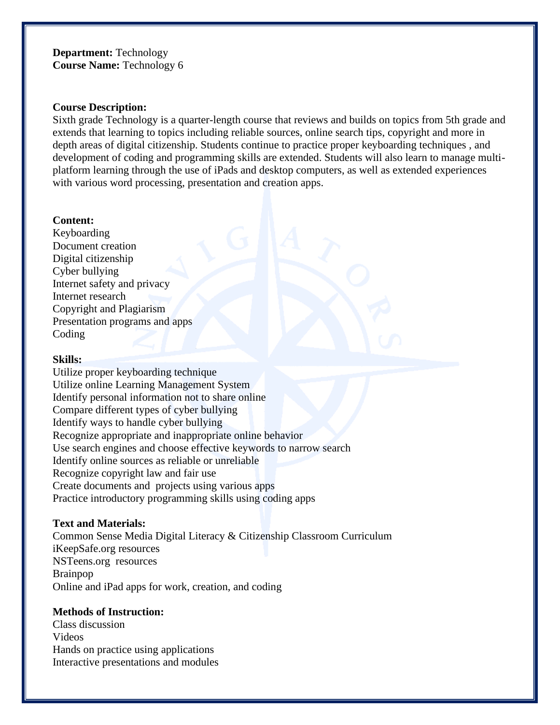# **Department:** Technology **Course Name:** Technology 6

#### **Course Description:**

Sixth grade Technology is a quarter-length course that reviews and builds on topics from 5th grade and extends that learning to topics including reliable sources, online search tips, copyright and more in depth areas of digital citizenship. Students continue to practice proper keyboarding techniques , and development of coding and programming skills are extended. Students will also learn to manage multiplatform learning through the use of iPads and desktop computers, as well as extended experiences with various word processing, presentation and creation apps.

### **Content:**

Keyboarding Document creation Digital citizenship Cyber bullying Internet safety and privacy Internet research Copyright and Plagiarism Presentation programs and apps Coding

## **Skills:**

Utilize proper keyboarding technique Utilize online Learning Management System Identify personal information not to share online Compare different types of cyber bullying Identify ways to handle cyber bullying Recognize appropriate and inappropriate online behavior Use search engines and choose effective keywords to narrow search Identify online sources as reliable or unreliable Recognize copyright law and fair use Create documents and projects using various apps Practice introductory programming skills using coding apps

# **Text and Materials:**

Common Sense Media Digital Literacy & Citizenship Classroom Curriculum iKeepSafe.org resources NSTeens.org resources Brainpop Online and iPad apps for work, creation, and coding

# **Methods of Instruction:**

Class discussion Videos Hands on practice using applications Interactive presentations and modules